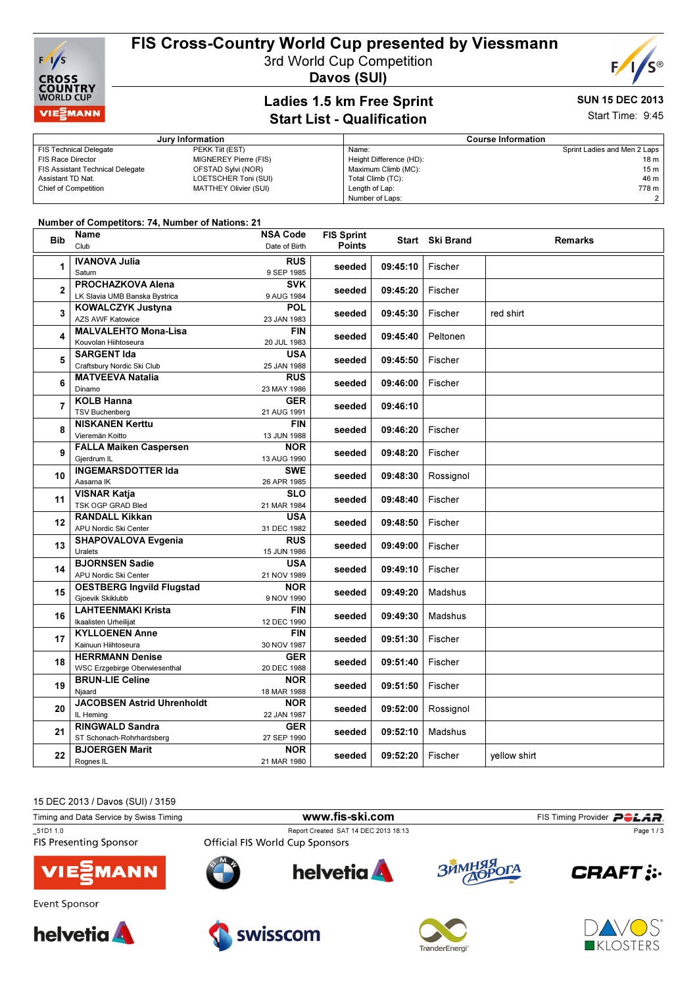

### FIS Cross-Country World Cup presented by Viessmann

3rd World Cup Competition





#### Ladies 1.5 km Free Sprint Start List - Qualification

# SUN 15 DEC 2013

Start Time: 9:45

| Jury Information                        |                              |                         | <b>Course Information</b>    |  |  |
|-----------------------------------------|------------------------------|-------------------------|------------------------------|--|--|
| <b>FIS Technical Delegate</b>           | PEKK Tijt (EST)              | Name:                   | Sprint Ladies and Men 2 Laps |  |  |
| <b>FIS Race Director</b>                | <b>MIGNEREY Pierre (FIS)</b> | Height Difference (HD): | $18 m$ I                     |  |  |
| <b>FIS Assistant Technical Delegate</b> | OFSTAD Sylvi (NOR)           | Maximum Climb (MC):     | 15 m                         |  |  |
| Assistant TD Nat.                       | LOETSCHER Toni (SUI)         | Total Climb (TC):       | 46 m                         |  |  |
| <b>Chief of Competition</b>             | MATTHEY Olivier (SUI)        | Length of Lap:          | 778 m                        |  |  |
|                                         |                              | Number of Laps:         |                              |  |  |

#### Number of Competitors: 74, Number of Nations: 21

| <b>Bib</b>     | Name                                  | <b>NSA Code</b>           | <b>FIS Sprint</b> |          | Start Ski Brand | <b>Remarks</b> |
|----------------|---------------------------------------|---------------------------|-------------------|----------|-----------------|----------------|
|                | Club                                  | Date of Birth             | <b>Points</b>     |          |                 |                |
| 1              | <b>IVANOVA Julia</b>                  | <b>RUS</b>                | seeded            | 09:45:10 | Fischer         |                |
|                | Saturn                                | 9 SEP 1985                |                   |          |                 |                |
| $\overline{2}$ | PROCHAZKOVA Alena                     | <b>SVK</b>                | seeded            | 09:45:20 |                 |                |
|                | LK Slavia UMB Banska Bystrica         | 9 AUG 1984                |                   |          | Fischer         |                |
| 3              | <b>KOWALCZYK Justyna</b>              | <b>POL</b>                | seeded            | 09:45:30 | Fischer         |                |
|                | <b>AZS AWF Katowice</b>               | 23 JAN 1983               |                   |          |                 | red shirt      |
| 4              | <b>MALVALEHTO Mona-Lisa</b>           | <b>FIN</b>                | seeded            | 09:45:40 | Peltonen        |                |
|                | Kouvolan Hiihtoseura                  | 20 JUL 1983               |                   |          |                 |                |
| 5              | <b>SARGENT Ida</b>                    | <b>USA</b>                | seeded            | 09:45:50 | Fischer         |                |
|                | Craftsbury Nordic Ski Club            | 25 JAN 1988               |                   |          |                 |                |
| 6              | <b>MATVEEVA Natalia</b>               | <b>RUS</b>                | seeded            | 09:46:00 | Fischer         |                |
|                | Dinamo                                | 23 MAY 1986               |                   |          |                 |                |
| $\overline{7}$ | <b>KOLB Hanna</b>                     | <b>GER</b>                | seeded            | 09:46:10 |                 |                |
|                | <b>TSV Buchenberg</b>                 | 21 AUG 1991               |                   |          |                 |                |
| 8              | <b>NISKANEN Kerttu</b>                | <b>FIN</b>                | seeded            | 09:46:20 | Fischer         |                |
|                | Vieremän Koitto                       | 13 JUN 1988               |                   |          |                 |                |
| 9              | <b>FALLA Maiken Caspersen</b>         | <b>NOR</b>                | seeded            | 09:48:20 | Fischer         |                |
|                | Gierdrum IL                           | 13 AUG 1990               |                   |          |                 |                |
| 10             | <b>INGEMARSDOTTER Ida</b>             | <b>SWE</b>                | seeded            | 09:48:30 | Rossignol       |                |
|                | Aasama IK                             | 26 APR 1985               |                   |          |                 |                |
| 11             | <b>VISNAR Katja</b>                   | SLO                       | seeded            | 09:48:40 | Fischer         |                |
|                | TSK OGP GRAD Bled                     | 21 MAR 1984               |                   |          |                 |                |
| 12             | <b>RANDALL Kikkan</b>                 | <b>USA</b>                | seeded            | 09:48:50 | Fischer         |                |
|                | APU Nordic Ski Center                 | 31 DEC 1982<br><b>RUS</b> |                   |          |                 |                |
| 13             | <b>SHAPOVALOVA Evgenia</b><br>Uralets |                           | seeded            | 09:49:00 | Fischer         |                |
|                | <b>BJORNSEN Sadie</b>                 | 15 JUN 1986<br><b>USA</b> |                   |          |                 |                |
| 14             | APU Nordic Ski Center                 | 21 NOV 1989               | seeded            | 09:49:10 | Fischer         |                |
|                | <b>OESTBERG Ingvild Flugstad</b>      | <b>NOR</b>                |                   |          |                 |                |
| 15             | Gjoevik Skiklubb                      | 9 NOV 1990                | seeded            | 09:49:20 | Madshus         |                |
|                | <b>LAHTEENMAKI Krista</b>             | <b>FIN</b>                | seeded            | 09:49:30 | Madshus         |                |
| 16             | Ikaalisten Urheilijat                 | 12 DEC 1990               |                   |          |                 |                |
|                | <b>KYLLOENEN Anne</b>                 | <b>FIN</b>                | seeded            |          | Fischer         |                |
| 17             | Kainuun Hiihtoseura                   | 30 NOV 1987               |                   | 09:51:30 |                 |                |
|                | <b>HERRMANN Denise</b>                | <b>GER</b>                | seeded            | 09:51:40 | Fischer         |                |
| 18             | <b>WSC Erzgebirge Oberwiesenthal</b>  | 20 DEC 1988               |                   |          |                 |                |
| 19             | <b>BRUN-LIE Celine</b>                | <b>NOR</b>                |                   | 09:51:50 | Fischer         |                |
|                | Njaard                                | 18 MAR 1988               | seeded            |          |                 |                |
| 20             | <b>JACOBSEN Astrid Uhrenholdt</b>     | <b>NOR</b>                | seeded            | 09:52:00 | Rossignol       |                |
|                | IL Heming                             | 22 JAN 1987               |                   |          |                 |                |
| 21             | <b>RINGWALD Sandra</b>                | <b>GER</b>                |                   | 09:52:10 | <b>Madshus</b>  |                |
|                | ST Schonach-Rohrhardsberg             | 27 SEP 1990               | seeded            |          |                 |                |
| 22             | <b>BJOERGEN Marit</b>                 | <b>NOR</b>                |                   | 09:52:20 | Fischer         |                |
|                | Rognes IL                             | 21 MAR 1980               | seeded            |          |                 | yellow shirt   |





Event Sponsor

**helvetia** 





swisscom



**TrønderEnergi** 



Page 1 / 3

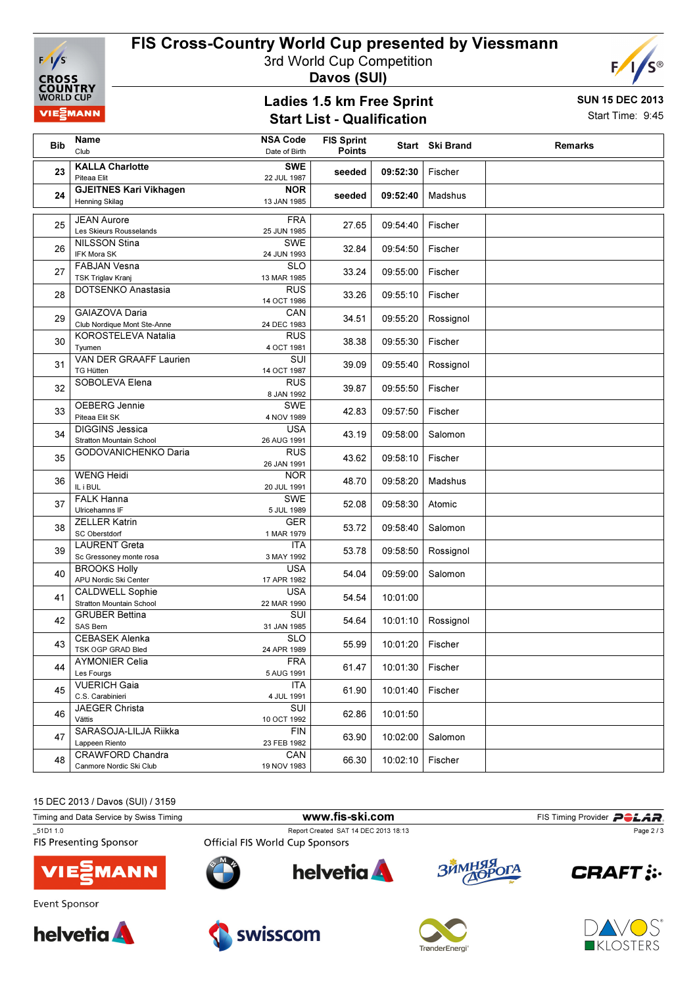

# FIS Cross-Country World Cup presented by Viessmann

3rd World Cup Competition

Davos (SUI)

#### Ladies 1.5 km Free Sprint Start List - Qualification



SUN 15 DEC 2013 Start Time: 9:45

| <b>Bib</b> | Name<br>Club                                              | <b>NSA Code</b><br>Date of Birth | <b>FIS Sprint</b><br><b>Points</b> |          | Start Ski Brand | <b>Remarks</b> |
|------------|-----------------------------------------------------------|----------------------------------|------------------------------------|----------|-----------------|----------------|
| 23         | <b>KALLA Charlotte</b><br>Piteaa Elit                     | <b>SWE</b><br>22 JUL 1987        | seeded                             | 09:52:30 | Fischer         |                |
| 24         | <b>GJEITNES Kari Vikhagen</b><br><b>Henning Skilag</b>    | <b>NOR</b><br>13 JAN 1985        | seeded                             | 09:52:40 | Madshus         |                |
| 25         | <b>JEAN Aurore</b><br>Les Skieurs Rousselands             | <b>FRA</b><br>25 JUN 1985        | 27.65                              | 09:54:40 | Fischer         |                |
| 26         | <b>NILSSON Stina</b><br><b>IFK Mora SK</b>                | SWE<br>24 JUN 1993               | 32.84                              | 09:54:50 | Fischer         |                |
| 27         | <b>FABJAN Vesna</b><br><b>TSK Triglav Kranj</b>           | <b>SLO</b><br>13 MAR 1985        | 33.24                              | 09:55:00 | Fischer         |                |
| 28         | DOTSENKO Anastasia                                        | <b>RUS</b><br>14 OCT 1986        | 33.26                              | 09:55:10 | Fischer         |                |
| 29         | GAIAZOVA Daria<br>Club Nordique Mont Ste-Anne             | CAN<br>24 DEC 1983               | 34.51                              | 09:55:20 | Rossignol       |                |
| 30         | KOROSTELEVA Natalia<br>Tyumen                             | <b>RUS</b><br>4 OCT 1981         | 38.38                              | 09:55:30 | Fischer         |                |
| 31         | <b>VAN DER GRAAFF Laurien</b><br><b>TG Hütten</b>         | SUI<br>14 OCT 1987               | 39.09                              | 09:55:40 | Rossignol       |                |
| 32         | SOBOLEVA Elena                                            | <b>RUS</b><br>8 JAN 1992         | 39.87                              | 09:55:50 | Fischer         |                |
| 33         | OEBERG Jennie<br>Piteaa Elit SK                           | <b>SWE</b><br>4 NOV 1989         | 42.83                              | 09:57:50 | Fischer         |                |
| 34         | <b>DIGGINS Jessica</b><br><b>Stratton Mountain School</b> | <b>USA</b><br>26 AUG 1991        | 43.19                              | 09:58:00 | Salomon         |                |
| 35         | GODOVANICHENKO Daria                                      | <b>RUS</b><br>26 JAN 1991        | 43.62                              | 09:58:10 | Fischer         |                |
| 36         | <b>WENG Heidi</b><br>IL i BUL                             | <b>NOR</b><br>20 JUL 1991        | 48.70                              | 09:58:20 | Madshus         |                |
| 37         | <b>FALK Hanna</b><br>Ulricehamns IF                       | <b>SWE</b><br>5 JUL 1989         | 52.08                              | 09:58:30 | Atomic          |                |
| 38         | <b>ZELLER Katrin</b><br><b>SC Oberstdorf</b>              | <b>GER</b><br>1 MAR 1979         | 53.72                              | 09:58:40 | Salomon         |                |
| 39         | <b>LAURENT Greta</b><br>Sc Gressoney monte rosa           | ITA<br>3 MAY 1992                | 53.78                              | 09:58:50 | Rossignol       |                |
| 40         | <b>BROOKS Holly</b><br>APU Nordic Ski Center              | <b>USA</b><br>17 APR 1982        | 54.04                              | 09:59:00 | Salomon         |                |
| 41         | <b>CALDWELL Sophie</b><br><b>Stratton Mountain School</b> | <b>USA</b><br>22 MAR 1990        | 54.54                              | 10:01:00 |                 |                |
| 42         | <b>GRUBER Bettina</b><br>SAS Bern                         | <b>SUI</b><br>31 JAN 1985        | 54.64                              | 10:01:10 | Rossignol       |                |
| 43         | <b>CEBASEK Alenka</b><br>TSK OGP GRAD Bled                | <b>SLO</b><br>24 APR 1989        | 55.99                              | 10:01:20 | Fischer         |                |
| 44         | <b>AYMONIER Celia</b><br>Les Fourgs                       | <b>FRA</b><br>5 AUG 1991         | 61.47                              | 10:01:30 | Fischer         |                |
| 45         | <b>VUERICH Gaia</b><br>C.S. Carabinieri                   | <b>ITA</b><br>4 JUL 1991         | 61.90                              | 10:01:40 | Fischer         |                |
| 46         | JAEGER Christa<br>Vättis                                  | SUI<br>10 OCT 1992               | 62.86                              | 10:01:50 |                 |                |
| 47         | SARASOJA-LILJA Riikka<br>Lappeen Riento                   | <b>FIN</b><br>23 FEB 1982        | 63.90                              | 10:02:00 | Salomon         |                |
| 48         | <b>CRAWFORD Chandra</b><br>Canmore Nordic Ski Club        | CAN<br>19 NOV 1983               | 66.30                              | 10:02:10 | Fischer         |                |